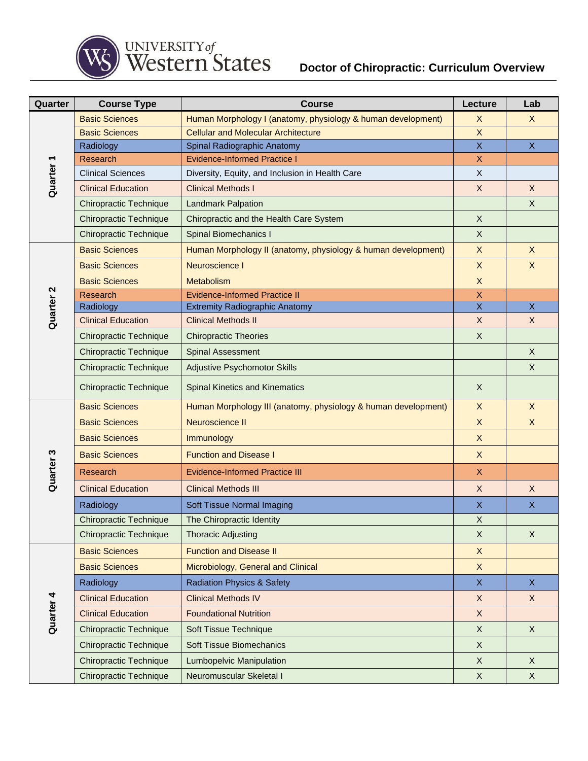

## **Doctor of Chiropractic: Curriculum Overview**

| Quarter              | <b>Course Type</b>            | <b>Course</b>                                                  | Lecture                 | Lab          |
|----------------------|-------------------------------|----------------------------------------------------------------|-------------------------|--------------|
|                      | <b>Basic Sciences</b>         | Human Morphology I (anatomy, physiology & human development)   | X                       | $\mathsf{X}$ |
|                      | <b>Basic Sciences</b>         | <b>Cellular and Molecular Architecture</b>                     | $\sf X$                 |              |
|                      | Radiology                     | Spinal Radiographic Anatomy                                    | $\mathsf{X}$            | $\mathsf{X}$ |
|                      | Research                      | <b>Evidence-Informed Practice I</b>                            | X                       |              |
| Quarter <sub>1</sub> | <b>Clinical Sciences</b>      | Diversity, Equity, and Inclusion in Health Care                | X                       |              |
|                      | <b>Clinical Education</b>     | <b>Clinical Methods I</b>                                      | $\mathsf X$             | $\mathsf{X}$ |
|                      | <b>Chiropractic Technique</b> | <b>Landmark Palpation</b>                                      |                         | X            |
|                      | <b>Chiropractic Technique</b> | Chiropractic and the Health Care System                        | $\mathsf X$             |              |
|                      | <b>Chiropractic Technique</b> | <b>Spinal Biomechanics I</b>                                   | $\mathsf X$             |              |
|                      | <b>Basic Sciences</b>         | Human Morphology II (anatomy, physiology & human development)  | X                       | X            |
|                      | <b>Basic Sciences</b>         | Neuroscience I                                                 | $\mathsf X$             | $\sf X$      |
|                      | <b>Basic Sciences</b>         | Metabolism                                                     | $\times$                |              |
| Quarter <sub>2</sub> | <b>Research</b>               | <b>Evidence-Informed Practice II</b>                           | $\mathsf X$             |              |
|                      | Radiology                     | <b>Extremity Radiographic Anatomy</b>                          | $\overline{\mathsf{X}}$ | $\mathsf{X}$ |
|                      | <b>Clinical Education</b>     | <b>Clinical Methods II</b>                                     | X                       | X            |
|                      | <b>Chiropractic Technique</b> | <b>Chiropractic Theories</b>                                   | $\mathsf X$             |              |
|                      | <b>Chiropractic Technique</b> | <b>Spinal Assessment</b>                                       |                         | $\mathsf{X}$ |
|                      | <b>Chiropractic Technique</b> | Adjustive Psychomotor Skills                                   |                         | X            |
|                      | <b>Chiropractic Technique</b> | <b>Spinal Kinetics and Kinematics</b>                          | X                       |              |
|                      | <b>Basic Sciences</b>         | Human Morphology III (anatomy, physiology & human development) | X                       | $\mathsf{X}$ |
|                      | <b>Basic Sciences</b>         | Neuroscience II                                                | $\mathsf X$             | X            |
|                      | <b>Basic Sciences</b>         | Immunology                                                     | $\mathsf X$             |              |
|                      | <b>Basic Sciences</b>         | <b>Function and Disease I</b>                                  | $\mathsf X$             |              |
| Quarter <sub>3</sub> | Research                      | <b>Evidence-Informed Practice III</b>                          | $\mathsf{X}$            |              |
|                      | <b>Clinical Education</b>     | <b>Clinical Methods III</b>                                    | $\sf X$                 | X            |
|                      | Radiology                     | Soft Tissue Normal Imaging                                     | X                       | $\mathsf{X}$ |
|                      | <b>Chiropractic Technique</b> | The Chiropractic Identity                                      | X                       |              |
|                      | <b>Chiropractic Technique</b> | <b>Thoracic Adjusting</b>                                      | $\mathsf X$             | $\mathsf{X}$ |
| Quarter <sub>4</sub> | <b>Basic Sciences</b>         | <b>Function and Disease II</b>                                 | $\mathsf X$             |              |
|                      | <b>Basic Sciences</b>         | Microbiology, General and Clinical                             | X                       |              |
|                      | Radiology                     | <b>Radiation Physics &amp; Safety</b>                          | $\mathsf X$             | $\mathsf{X}$ |
|                      | <b>Clinical Education</b>     | <b>Clinical Methods IV</b>                                     | $\mathsf X$             | $\mathsf{X}$ |
|                      | <b>Clinical Education</b>     | <b>Foundational Nutrition</b>                                  | X                       |              |
|                      | <b>Chiropractic Technique</b> | Soft Tissue Technique                                          | $\mathsf X$             | $\mathsf{X}$ |
|                      | <b>Chiropractic Technique</b> | <b>Soft Tissue Biomechanics</b>                                | X                       |              |
|                      | <b>Chiropractic Technique</b> | <b>Lumbopelvic Manipulation</b>                                | X                       | X            |
|                      | <b>Chiropractic Technique</b> | Neuromuscular Skeletal I                                       | $\mathsf X$             | $\mathsf{X}$ |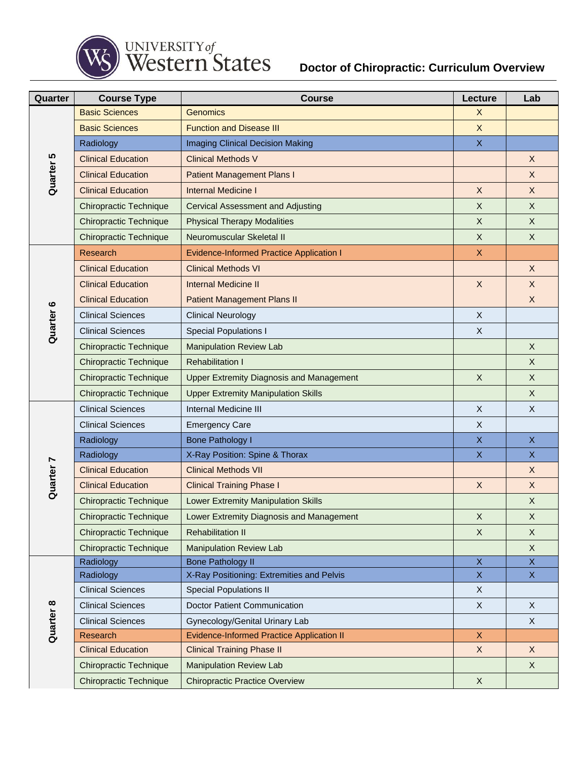

## UNIVERSITY of<br>Western States

## **Doctor of Chiropractic: Curriculum Overview**

| Quarter              | <b>Course Type</b>            | <b>Course</b>                                    | Lecture                   | Lab          |
|----------------------|-------------------------------|--------------------------------------------------|---------------------------|--------------|
|                      | <b>Basic Sciences</b>         | Genomics                                         | X                         |              |
|                      | <b>Basic Sciences</b>         | <b>Function and Disease III</b>                  | $\mathsf X$               |              |
|                      | Radiology                     | <b>Imaging Clinical Decision Making</b>          | $\mathsf X$               |              |
|                      | <b>Clinical Education</b>     | <b>Clinical Methods V</b>                        |                           | X            |
| Quarter <sub>5</sub> | <b>Clinical Education</b>     | <b>Patient Management Plans I</b>                |                           | X            |
|                      | <b>Clinical Education</b>     | <b>Internal Medicine I</b>                       | X                         | $\mathsf{X}$ |
|                      | <b>Chiropractic Technique</b> | <b>Cervical Assessment and Adjusting</b>         | X                         | X            |
|                      | <b>Chiropractic Technique</b> | <b>Physical Therapy Modalities</b>               | $\mathsf X$               | $\mathsf{X}$ |
|                      | <b>Chiropractic Technique</b> | Neuromuscular Skeletal II                        | $\mathsf X$               | X            |
|                      | Research                      | <b>Evidence-Informed Practice Application I</b>  | X                         |              |
|                      | <b>Clinical Education</b>     | <b>Clinical Methods VI</b>                       |                           | X            |
|                      | <b>Clinical Education</b>     | <b>Internal Medicine II</b>                      | X                         | X            |
|                      | <b>Clinical Education</b>     | <b>Patient Management Plans II</b>               |                           | X            |
|                      | <b>Clinical Sciences</b>      | <b>Clinical Neurology</b>                        | X                         |              |
| Quarter <sub>6</sub> | <b>Clinical Sciences</b>      | <b>Special Populations I</b>                     | $\mathsf X$               |              |
|                      | <b>Chiropractic Technique</b> | <b>Manipulation Review Lab</b>                   |                           | X            |
|                      | <b>Chiropractic Technique</b> | <b>Rehabilitation I</b>                          |                           | X            |
|                      | <b>Chiropractic Technique</b> | <b>Upper Extremity Diagnosis and Management</b>  | X                         | $\mathsf X$  |
|                      | <b>Chiropractic Technique</b> | <b>Upper Extremity Manipulation Skills</b>       |                           | X            |
|                      | <b>Clinical Sciences</b>      | <b>Internal Medicine III</b>                     | $\mathsf X$               | X            |
|                      | <b>Clinical Sciences</b>      | <b>Emergency Care</b>                            | $\mathsf X$               |              |
|                      | Radiology                     | <b>Bone Pathology I</b>                          | X                         | X            |
|                      | Radiology                     | X-Ray Position: Spine & Thorax                   | $\mathsf X$               | $\mathsf{X}$ |
| Quarter 7            | <b>Clinical Education</b>     | <b>Clinical Methods VII</b>                      |                           | $\mathsf X$  |
|                      | <b>Clinical Education</b>     | <b>Clinical Training Phase I</b>                 | $\mathsf X$               | $\mathsf X$  |
|                      | <b>Chiropractic Technique</b> | <b>Lower Extremity Manipulation Skills</b>       |                           | X            |
|                      | <b>Chiropractic Technique</b> | Lower Extremity Diagnosis and Management         | $\boldsymbol{\mathsf{X}}$ | Χ            |
|                      | <b>Chiropractic Technique</b> | <b>Rehabilitation II</b>                         | X                         | X            |
|                      | <b>Chiropractic Technique</b> | <b>Manipulation Review Lab</b>                   |                           | $\mathsf{X}$ |
|                      | Radiology                     | <b>Bone Pathology II</b>                         | $\mathsf X$               | $\mathsf{X}$ |
| Quarter 8            | Radiology                     | X-Ray Positioning: Extremities and Pelvis        | X.                        | X.           |
|                      | <b>Clinical Sciences</b>      | <b>Special Populations II</b>                    | X                         |              |
|                      | <b>Clinical Sciences</b>      | Doctor Patient Communication                     | X                         | $\mathsf X$  |
|                      | <b>Clinical Sciences</b>      | Gynecology/Genital Urinary Lab                   |                           | X            |
|                      | Research                      | <b>Evidence-Informed Practice Application II</b> | $\mathsf X$               |              |
|                      | <b>Clinical Education</b>     | <b>Clinical Training Phase II</b>                | $\mathsf{X}$              | X            |
|                      | <b>Chiropractic Technique</b> | <b>Manipulation Review Lab</b>                   |                           | $\mathsf X$  |
|                      | Chiropractic Technique        | <b>Chiropractic Practice Overview</b>            | $\mathsf X$               |              |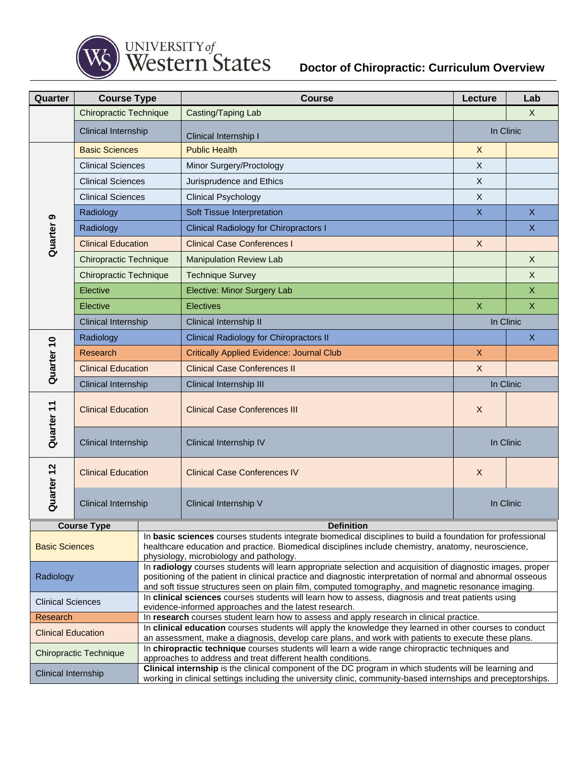

## **Doctor of Chiropractic: Curriculum Overview**

| Quarter                       | <b>Course Type</b>            |                                                                                                                                                                                                                                                                                                                                    | <b>Course</b>                                    | Lecture                   | Lab                       |  |
|-------------------------------|-------------------------------|------------------------------------------------------------------------------------------------------------------------------------------------------------------------------------------------------------------------------------------------------------------------------------------------------------------------------------|--------------------------------------------------|---------------------------|---------------------------|--|
|                               | <b>Chiropractic Technique</b> |                                                                                                                                                                                                                                                                                                                                    | Casting/Taping Lab                               | X                         |                           |  |
|                               | Clinical Internship           |                                                                                                                                                                                                                                                                                                                                    | Clinical Internship I                            | In Clinic                 |                           |  |
|                               | <b>Basic Sciences</b>         |                                                                                                                                                                                                                                                                                                                                    | <b>Public Health</b>                             | $\sf X$                   |                           |  |
|                               | <b>Clinical Sciences</b>      |                                                                                                                                                                                                                                                                                                                                    | Minor Surgery/Proctology                         | $\sf X$                   |                           |  |
|                               | <b>Clinical Sciences</b>      |                                                                                                                                                                                                                                                                                                                                    | Jurisprudence and Ethics                         | $\mathsf{X}$              |                           |  |
|                               | <b>Clinical Sciences</b>      |                                                                                                                                                                                                                                                                                                                                    | <b>Clinical Psychology</b>                       | $\mathsf{X}$              |                           |  |
|                               | Radiology                     |                                                                                                                                                                                                                                                                                                                                    | Soft Tissue Interpretation                       | $\boldsymbol{\mathsf{X}}$ | $\mathsf{X}$              |  |
| Quarter <sub>9</sub>          | Radiology                     |                                                                                                                                                                                                                                                                                                                                    | <b>Clinical Radiology for Chiropractors I</b>    |                           | $\mathsf{X}$              |  |
|                               | <b>Clinical Education</b>     |                                                                                                                                                                                                                                                                                                                                    | <b>Clinical Case Conferences I</b>               | $\times$                  |                           |  |
|                               | <b>Chiropractic Technique</b> |                                                                                                                                                                                                                                                                                                                                    | <b>Manipulation Review Lab</b>                   |                           | $\mathsf{X}$              |  |
|                               | <b>Chiropractic Technique</b> |                                                                                                                                                                                                                                                                                                                                    | <b>Technique Survey</b>                          |                           | $\mathsf{X}$              |  |
|                               | Elective                      |                                                                                                                                                                                                                                                                                                                                    | Elective: Minor Surgery Lab                      |                           | X                         |  |
|                               | Elective                      |                                                                                                                                                                                                                                                                                                                                    | <b>Electives</b>                                 | $\boldsymbol{\mathsf{X}}$ | $\mathsf X$               |  |
|                               | Clinical Internship           |                                                                                                                                                                                                                                                                                                                                    | Clinical Internship II                           | In Clinic                 |                           |  |
|                               | Radiology                     |                                                                                                                                                                                                                                                                                                                                    | <b>Clinical Radiology for Chiropractors II</b>   |                           | $\boldsymbol{\mathsf{X}}$ |  |
|                               | Research                      |                                                                                                                                                                                                                                                                                                                                    | <b>Critically Applied Evidence: Journal Club</b> | $\sf X$                   |                           |  |
| Quarter <sub>10</sub>         | <b>Clinical Education</b>     |                                                                                                                                                                                                                                                                                                                                    | <b>Clinical Case Conferences II</b>              | $\mathsf{X}$              |                           |  |
|                               | Clinical Internship           |                                                                                                                                                                                                                                                                                                                                    | Clinical Internship III                          | In Clinic                 |                           |  |
| Quarter <sub>11</sub>         | <b>Clinical Education</b>     |                                                                                                                                                                                                                                                                                                                                    | <b>Clinical Case Conferences III</b>             | X                         |                           |  |
|                               | Clinical Internship           |                                                                                                                                                                                                                                                                                                                                    | Clinical Internship IV                           | In Clinic                 |                           |  |
| Quarter 12                    | <b>Clinical Education</b>     |                                                                                                                                                                                                                                                                                                                                    | <b>Clinical Case Conferences IV</b>              | $\boldsymbol{X}$          |                           |  |
|                               | Clinical Internship           |                                                                                                                                                                                                                                                                                                                                    | Clinical Internship V                            | In Clinic                 |                           |  |
| <b>Course Type</b>            |                               | <b>Definition</b>                                                                                                                                                                                                                                                                                                                  |                                                  |                           |                           |  |
| <b>Basic Sciences</b>         |                               | In basic sciences courses students integrate biomedical disciplines to build a foundation for professional<br>healthcare education and practice. Biomedical disciplines include chemistry, anatomy, neuroscience,<br>physiology, microbiology and pathology.                                                                       |                                                  |                           |                           |  |
| Radiology                     |                               | In radiology courses students will learn appropriate selection and acquisition of diagnostic images, proper<br>positioning of the patient in clinical practice and diagnostic interpretation of normal and abnormal osseous<br>and soft tissue structures seen on plain film, computed tomography, and magnetic resonance imaging. |                                                  |                           |                           |  |
| <b>Clinical Sciences</b>      |                               | In clinical sciences courses students will learn how to assess, diagnosis and treat patients using<br>evidence-informed approaches and the latest research.                                                                                                                                                                        |                                                  |                           |                           |  |
| Research                      |                               | In research courses student learn how to assess and apply research in clinical practice.                                                                                                                                                                                                                                           |                                                  |                           |                           |  |
| <b>Clinical Education</b>     |                               | In clinical education courses students will apply the knowledge they learned in other courses to conduct<br>an assessment, make a diagnosis, develop care plans, and work with patients to execute these plans.                                                                                                                    |                                                  |                           |                           |  |
| <b>Chiropractic Technique</b> |                               | In chiropractic technique courses students will learn a wide range chiropractic techniques and<br>approaches to address and treat different health conditions.                                                                                                                                                                     |                                                  |                           |                           |  |
| Clinical Internship           |                               | Clinical internship is the clinical component of the DC program in which students will be learning and<br>working in clinical settings including the university clinic, community-based internships and preceptorships.                                                                                                            |                                                  |                           |                           |  |